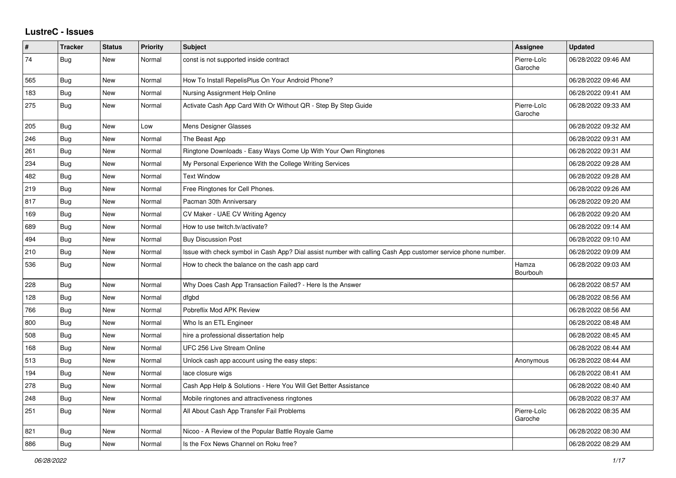## **LustreC - Issues**

| $\vert$ # | <b>Tracker</b> | <b>Status</b> | <b>Priority</b> | <b>Subject</b>                                                                                               | <b>Assignee</b>        | <b>Updated</b>      |
|-----------|----------------|---------------|-----------------|--------------------------------------------------------------------------------------------------------------|------------------------|---------------------|
| 74        | Bug            | New           | Normal          | const is not supported inside contract                                                                       | Pierre-Loïc<br>Garoche | 06/28/2022 09:46 AM |
| 565       | Bug            | New           | Normal          | How To Install RepelisPlus On Your Android Phone?                                                            |                        | 06/28/2022 09:46 AM |
| 183       | <b>Bug</b>     | New           | Normal          | Nursing Assignment Help Online                                                                               |                        | 06/28/2022 09:41 AM |
| 275       | <b>Bug</b>     | New           | Normal          | Activate Cash App Card With Or Without QR - Step By Step Guide                                               | Pierre-Loïc<br>Garoche | 06/28/2022 09:33 AM |
| 205       | Bug            | New           | Low             | Mens Designer Glasses                                                                                        |                        | 06/28/2022 09:32 AM |
| 246       | <b>Bug</b>     | New           | Normal          | The Beast App                                                                                                |                        | 06/28/2022 09:31 AM |
| 261       | <b>Bug</b>     | New           | Normal          | Ringtone Downloads - Easy Ways Come Up With Your Own Ringtones                                               |                        | 06/28/2022 09:31 AM |
| 234       | <b>Bug</b>     | New           | Normal          | My Personal Experience With the College Writing Services                                                     |                        | 06/28/2022 09:28 AM |
| 482       | <b>Bug</b>     | New           | Normal          | <b>Text Window</b>                                                                                           |                        | 06/28/2022 09:28 AM |
| 219       | <b>Bug</b>     | New           | Normal          | Free Ringtones for Cell Phones.                                                                              |                        | 06/28/2022 09:26 AM |
| 817       | Bug            | New           | Normal          | Pacman 30th Anniversary                                                                                      |                        | 06/28/2022 09:20 AM |
| 169       | <b>Bug</b>     | New           | Normal          | CV Maker - UAE CV Writing Agency                                                                             |                        | 06/28/2022 09:20 AM |
| 689       | <b>Bug</b>     | New           | Normal          | How to use twitch.tv/activate?                                                                               |                        | 06/28/2022 09:14 AM |
| 494       | Bug            | New           | Normal          | <b>Buy Discussion Post</b>                                                                                   |                        | 06/28/2022 09:10 AM |
| 210       | <b>Bug</b>     | New           | Normal          | Issue with check symbol in Cash App? Dial assist number with calling Cash App customer service phone number. |                        | 06/28/2022 09:09 AM |
| 536       | Bug            | New           | Normal          | How to check the balance on the cash app card                                                                | Hamza<br>Bourbouh      | 06/28/2022 09:03 AM |
| 228       | Bug            | <b>New</b>    | Normal          | Why Does Cash App Transaction Failed? - Here Is the Answer                                                   |                        | 06/28/2022 08:57 AM |
| 128       | Bug            | New           | Normal          | dfgbd                                                                                                        |                        | 06/28/2022 08:56 AM |
| 766       | Bug            | New           | Normal          | Pobreflix Mod APK Review                                                                                     |                        | 06/28/2022 08:56 AM |
| 800       | <b>Bug</b>     | New           | Normal          | Who Is an ETL Engineer                                                                                       |                        | 06/28/2022 08:48 AM |
| 508       | <b>Bug</b>     | New           | Normal          | hire a professional dissertation help                                                                        |                        | 06/28/2022 08:45 AM |
| 168       | <b>Bug</b>     | New           | Normal          | UFC 256 Live Stream Online                                                                                   |                        | 06/28/2022 08:44 AM |
| 513       | <b>Bug</b>     | New           | Normal          | Unlock cash app account using the easy steps:                                                                | Anonymous              | 06/28/2022 08:44 AM |
| 194       | <b>Bug</b>     | New           | Normal          | lace closure wigs                                                                                            |                        | 06/28/2022 08:41 AM |
| 278       | <b>Bug</b>     | New           | Normal          | Cash App Help & Solutions - Here You Will Get Better Assistance                                              |                        | 06/28/2022 08:40 AM |
| 248       | <b>Bug</b>     | New           | Normal          | Mobile ringtones and attractiveness ringtones                                                                |                        | 06/28/2022 08:37 AM |
| 251       | Bug            | New           | Normal          | All About Cash App Transfer Fail Problems                                                                    | Pierre-Loïc<br>Garoche | 06/28/2022 08:35 AM |
| 821       | Bug            | New           | Normal          | Nicoo - A Review of the Popular Battle Royale Game                                                           |                        | 06/28/2022 08:30 AM |
| 886       | <b>Bug</b>     | New           | Normal          | Is the Fox News Channel on Roku free?                                                                        |                        | 06/28/2022 08:29 AM |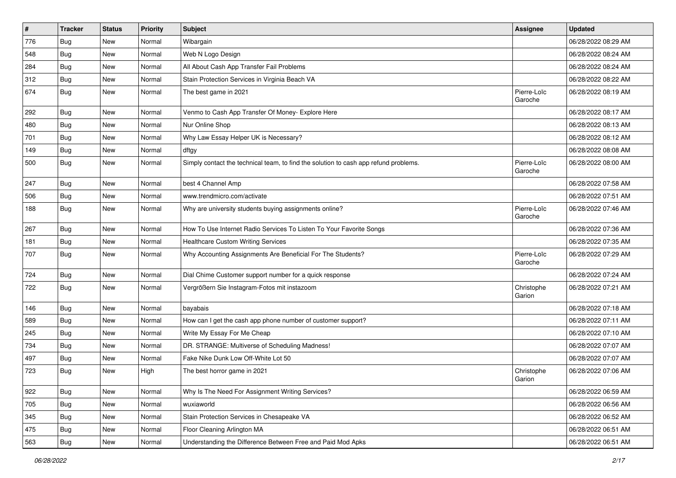| $\vert$ # | <b>Tracker</b> | <b>Status</b> | <b>Priority</b> | Subject                                                                              | Assignee               | <b>Updated</b>      |
|-----------|----------------|---------------|-----------------|--------------------------------------------------------------------------------------|------------------------|---------------------|
| 776       | <b>Bug</b>     | New           | Normal          | Wibargain                                                                            |                        | 06/28/2022 08:29 AM |
| 548       | Bug            | <b>New</b>    | Normal          | Web N Logo Design                                                                    |                        | 06/28/2022 08:24 AM |
| 284       | <b>Bug</b>     | New           | Normal          | All About Cash App Transfer Fail Problems                                            |                        | 06/28/2022 08:24 AM |
| 312       | <b>Bug</b>     | New           | Normal          | Stain Protection Services in Virginia Beach VA                                       |                        | 06/28/2022 08:22 AM |
| 674       | Bug            | <b>New</b>    | Normal          | The best game in 2021                                                                | Pierre-Loïc<br>Garoche | 06/28/2022 08:19 AM |
| 292       | <b>Bug</b>     | <b>New</b>    | Normal          | Venmo to Cash App Transfer Of Money- Explore Here                                    |                        | 06/28/2022 08:17 AM |
| 480       | <b>Bug</b>     | New           | Normal          | Nur Online Shop                                                                      |                        | 06/28/2022 08:13 AM |
| 701       | <b>Bug</b>     | New           | Normal          | Why Law Essay Helper UK is Necessary?                                                |                        | 06/28/2022 08:12 AM |
| 149       | Bug            | <b>New</b>    | Normal          | dftgy                                                                                |                        | 06/28/2022 08:08 AM |
| 500       | Bug            | New           | Normal          | Simply contact the technical team, to find the solution to cash app refund problems. | Pierre-Loïc<br>Garoche | 06/28/2022 08:00 AM |
| 247       | Bug            | <b>New</b>    | Normal          | best 4 Channel Amp                                                                   |                        | 06/28/2022 07:58 AM |
| 506       | <b>Bug</b>     | New           | Normal          | www.trendmicro.com/activate                                                          |                        | 06/28/2022 07:51 AM |
| 188       | Bug            | New           | Normal          | Why are university students buying assignments online?                               | Pierre-Loïc<br>Garoche | 06/28/2022 07:46 AM |
| 267       | <b>Bug</b>     | New           | Normal          | How To Use Internet Radio Services To Listen To Your Favorite Songs                  |                        | 06/28/2022 07:36 AM |
| 181       | Bug            | <b>New</b>    | Normal          | <b>Healthcare Custom Writing Services</b>                                            |                        | 06/28/2022 07:35 AM |
| 707       | <b>Bug</b>     | New           | Normal          | Why Accounting Assignments Are Beneficial For The Students?                          | Pierre-Loïc<br>Garoche | 06/28/2022 07:29 AM |
| 724       | Bug            | <b>New</b>    | Normal          | Dial Chime Customer support number for a quick response                              |                        | 06/28/2022 07:24 AM |
| 722       | Bug            | New           | Normal          | Vergrößern Sie Instagram-Fotos mit instazoom                                         | Christophe<br>Garion   | 06/28/2022 07:21 AM |
| 146       | Bug            | New           | Normal          | bayabais                                                                             |                        | 06/28/2022 07:18 AM |
| 589       | <b>Bug</b>     | New           | Normal          | How can I get the cash app phone number of customer support?                         |                        | 06/28/2022 07:11 AM |
| 245       | Bug            | <b>New</b>    | Normal          | Write My Essay For Me Cheap                                                          |                        | 06/28/2022 07:10 AM |
| 734       | <b>Bug</b>     | New           | Normal          | DR. STRANGE: Multiverse of Scheduling Madness!                                       |                        | 06/28/2022 07:07 AM |
| 497       | <b>Bug</b>     | New           | Normal          | Fake Nike Dunk Low Off-White Lot 50                                                  |                        | 06/28/2022 07:07 AM |
| 723       | <b>Bug</b>     | <b>New</b>    | High            | The best horror game in 2021                                                         | Christophe<br>Garion   | 06/28/2022 07:06 AM |
| 922       | Bug            | New           | Normal          | Why Is The Need For Assignment Writing Services?                                     |                        | 06/28/2022 06:59 AM |
| 705       | <b>Bug</b>     | New           | Normal          | wuxiaworld                                                                           |                        | 06/28/2022 06:56 AM |
| 345       | <b>Bug</b>     | New           | Normal          | Stain Protection Services in Chesapeake VA                                           |                        | 06/28/2022 06:52 AM |
| 475       | <b>Bug</b>     | New           | Normal          | Floor Cleaning Arlington MA                                                          |                        | 06/28/2022 06:51 AM |
| 563       | <b>Bug</b>     | New           | Normal          | Understanding the Difference Between Free and Paid Mod Apks                          |                        | 06/28/2022 06:51 AM |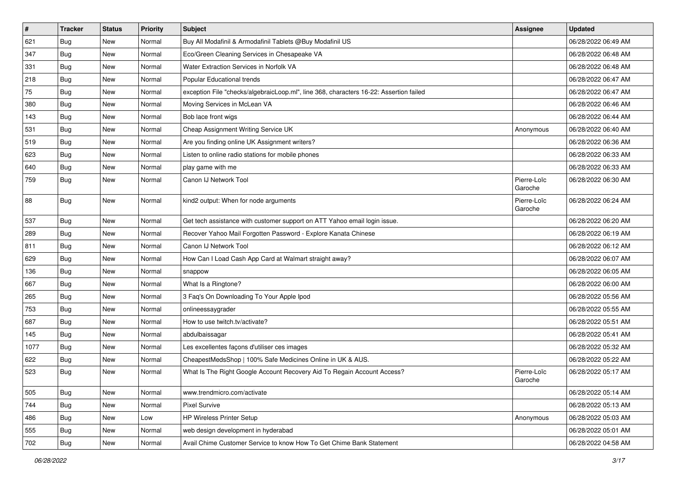| $\vert$ # | <b>Tracker</b> | <b>Status</b> | Priority | Subject                                                                                | <b>Assignee</b>        | <b>Updated</b>      |
|-----------|----------------|---------------|----------|----------------------------------------------------------------------------------------|------------------------|---------------------|
| 621       | <b>Bug</b>     | New           | Normal   | Buy All Modafinil & Armodafinil Tablets @Buy Modafinil US                              |                        | 06/28/2022 06:49 AM |
| 347       | <b>Bug</b>     | <b>New</b>    | Normal   | Eco/Green Cleaning Services in Chesapeake VA                                           |                        | 06/28/2022 06:48 AM |
| 331       | <b>Bug</b>     | New           | Normal   | Water Extraction Services in Norfolk VA                                                |                        | 06/28/2022 06:48 AM |
| 218       | <b>Bug</b>     | New           | Normal   | Popular Educational trends                                                             |                        | 06/28/2022 06:47 AM |
| 75        | <b>Bug</b>     | <b>New</b>    | Normal   | exception File "checks/algebraicLoop.ml", line 368, characters 16-22: Assertion failed |                        | 06/28/2022 06:47 AM |
| 380       | Bug            | New           | Normal   | Moving Services in McLean VA                                                           |                        | 06/28/2022 06:46 AM |
| 143       | <b>Bug</b>     | New           | Normal   | Bob lace front wigs                                                                    |                        | 06/28/2022 06:44 AM |
| 531       | <b>Bug</b>     | New           | Normal   | Cheap Assignment Writing Service UK                                                    | Anonymous              | 06/28/2022 06:40 AM |
| 519       | <b>Bug</b>     | New           | Normal   | Are you finding online UK Assignment writers?                                          |                        | 06/28/2022 06:36 AM |
| 623       | Bug            | <b>New</b>    | Normal   | Listen to online radio stations for mobile phones                                      |                        | 06/28/2022 06:33 AM |
| 640       | <b>Bug</b>     | New           | Normal   | play game with me                                                                      |                        | 06/28/2022 06:33 AM |
| 759       | <b>Bug</b>     | New           | Normal   | Canon IJ Network Tool                                                                  | Pierre-Loïc<br>Garoche | 06/28/2022 06:30 AM |
| 88        | Bug            | <b>New</b>    | Normal   | kind2 output: When for node arguments                                                  | Pierre-Loïc<br>Garoche | 06/28/2022 06:24 AM |
| 537       | <b>Bug</b>     | New           | Normal   | Get tech assistance with customer support on ATT Yahoo email login issue.              |                        | 06/28/2022 06:20 AM |
| 289       | <b>Bug</b>     | New           | Normal   | Recover Yahoo Mail Forgotten Password - Explore Kanata Chinese                         |                        | 06/28/2022 06:19 AM |
| 811       | Bug            | <b>New</b>    | Normal   | Canon IJ Network Tool                                                                  |                        | 06/28/2022 06:12 AM |
| 629       | <b>Bug</b>     | New           | Normal   | How Can I Load Cash App Card at Walmart straight away?                                 |                        | 06/28/2022 06:07 AM |
| 136       | Bug            | <b>New</b>    | Normal   | snappow                                                                                |                        | 06/28/2022 06:05 AM |
| 667       | <b>Bug</b>     | New           | Normal   | What Is a Ringtone?                                                                    |                        | 06/28/2022 06:00 AM |
| 265       | <b>Bug</b>     | New           | Normal   | 3 Faq's On Downloading To Your Apple Ipod                                              |                        | 06/28/2022 05:56 AM |
| 753       | Bug            | <b>New</b>    | Normal   | onlineessaygrader                                                                      |                        | 06/28/2022 05:55 AM |
| 687       | <b>Bug</b>     | New           | Normal   | How to use twitch.tv/activate?                                                         |                        | 06/28/2022 05:51 AM |
| 145       | <b>Bug</b>     | New           | Normal   | abdulbaissagar                                                                         |                        | 06/28/2022 05:41 AM |
| 1077      | <b>Bug</b>     | <b>New</b>    | Normal   | Les excellentes façons d'utiliser ces images                                           |                        | 06/28/2022 05:32 AM |
| 622       | <b>Bug</b>     | New           | Normal   | CheapestMedsShop   100% Safe Medicines Online in UK & AUS.                             |                        | 06/28/2022 05:22 AM |
| 523       | Bug            | New           | Normal   | What Is The Right Google Account Recovery Aid To Regain Account Access?                | Pierre-Loïc<br>Garoche | 06/28/2022 05:17 AM |
| 505       | Bug            | <b>New</b>    | Normal   | www.trendmicro.com/activate                                                            |                        | 06/28/2022 05:14 AM |
| 744       | Bug            | <b>New</b>    | Normal   | <b>Pixel Survive</b>                                                                   |                        | 06/28/2022 05:13 AM |
| 486       | Bug            | New           | Low      | <b>HP Wireless Printer Setup</b>                                                       | Anonymous              | 06/28/2022 05:03 AM |
| 555       | <b>Bug</b>     | New           | Normal   | web design development in hyderabad                                                    |                        | 06/28/2022 05:01 AM |
| 702       | Bug            | New           | Normal   | Avail Chime Customer Service to know How To Get Chime Bank Statement                   |                        | 06/28/2022 04:58 AM |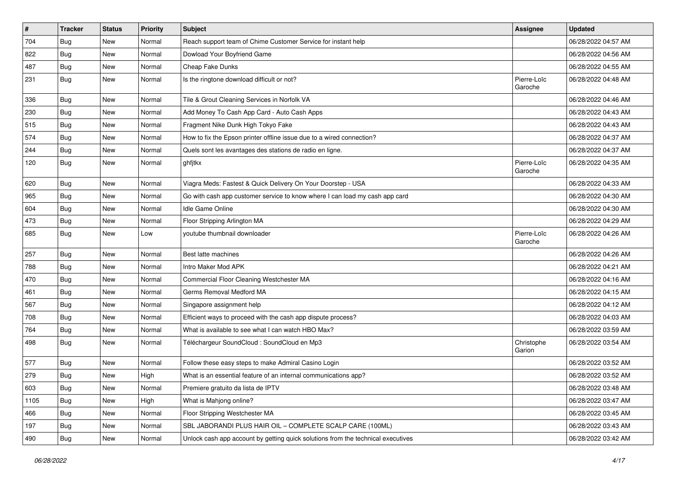| $\pmb{\#}$ | <b>Tracker</b> | <b>Status</b> | <b>Priority</b> | <b>Subject</b>                                                                   | <b>Assignee</b>        | <b>Updated</b>      |
|------------|----------------|---------------|-----------------|----------------------------------------------------------------------------------|------------------------|---------------------|
| 704        | <b>Bug</b>     | New           | Normal          | Reach support team of Chime Customer Service for instant help                    |                        | 06/28/2022 04:57 AM |
| 822        | <b>Bug</b>     | New           | Normal          | Dowload Your Boyfriend Game                                                      |                        | 06/28/2022 04:56 AM |
| 487        | Bug            | New           | Normal          | Cheap Fake Dunks                                                                 |                        | 06/28/2022 04:55 AM |
| 231        | <b>Bug</b>     | New           | Normal          | Is the ringtone download difficult or not?                                       | Pierre-Loïc<br>Garoche | 06/28/2022 04:48 AM |
| 336        | Bug            | <b>New</b>    | Normal          | Tile & Grout Cleaning Services in Norfolk VA                                     |                        | 06/28/2022 04:46 AM |
| 230        | Bug            | New           | Normal          | Add Money To Cash App Card - Auto Cash Apps                                      |                        | 06/28/2022 04:43 AM |
| 515        | Bug            | <b>New</b>    | Normal          | Fragment Nike Dunk High Tokyo Fake                                               |                        | 06/28/2022 04:43 AM |
| 574        | Bug            | New           | Normal          | How to fix the Epson printer offline issue due to a wired connection?            |                        | 06/28/2022 04:37 AM |
| 244        | Bug            | <b>New</b>    | Normal          | Quels sont les avantages des stations de radio en ligne.                         |                        | 06/28/2022 04:37 AM |
| 120        | Bug            | New           | Normal          | ghfjtkx                                                                          | Pierre-Loïc<br>Garoche | 06/28/2022 04:35 AM |
| 620        | Bug            | New           | Normal          | Viagra Meds: Fastest & Quick Delivery On Your Doorstep - USA                     |                        | 06/28/2022 04:33 AM |
| 965        | <b>Bug</b>     | New           | Normal          | Go with cash app customer service to know where I can load my cash app card      |                        | 06/28/2022 04:30 AM |
| 604        | Bug            | New           | Normal          | Idle Game Online                                                                 |                        | 06/28/2022 04:30 AM |
| 473        | Bug            | New           | Normal          | Floor Stripping Arlington MA                                                     |                        | 06/28/2022 04:29 AM |
| 685        | <b>Bug</b>     | New           | Low             | youtube thumbnail downloader                                                     | Pierre-Loïc<br>Garoche | 06/28/2022 04:26 AM |
| 257        | Bug            | New           | Normal          | Best latte machines                                                              |                        | 06/28/2022 04:26 AM |
| 788        | <b>Bug</b>     | <b>New</b>    | Normal          | Intro Maker Mod APK                                                              |                        | 06/28/2022 04:21 AM |
| 470        | Bug            | New           | Normal          | Commercial Floor Cleaning Westchester MA                                         |                        | 06/28/2022 04:16 AM |
| 461        | <b>Bug</b>     | New           | Normal          | Germs Removal Medford MA                                                         |                        | 06/28/2022 04:15 AM |
| 567        | <b>Bug</b>     | New           | Normal          | Singapore assignment help                                                        |                        | 06/28/2022 04:12 AM |
| 708        | Bug            | New           | Normal          | Efficient ways to proceed with the cash app dispute process?                     |                        | 06/28/2022 04:03 AM |
| 764        | <b>Bug</b>     | New           | Normal          | What is available to see what I can watch HBO Max?                               |                        | 06/28/2022 03:59 AM |
| 498        | Bug            | New           | Normal          | Téléchargeur SoundCloud : SoundCloud en Mp3                                      | Christophe<br>Garion   | 06/28/2022 03:54 AM |
| 577        | <b>Bug</b>     | New           | Normal          | Follow these easy steps to make Admiral Casino Login                             |                        | 06/28/2022 03:52 AM |
| 279        | <b>Bug</b>     | New           | High            | What is an essential feature of an internal communications app?                  |                        | 06/28/2022 03:52 AM |
| 603        | <b>Bug</b>     | New           | Normal          | Premiere gratuito da lista de IPTV                                               |                        | 06/28/2022 03:48 AM |
| 1105       | <b>Bug</b>     | New           | High            | What is Mahjong online?                                                          |                        | 06/28/2022 03:47 AM |
| 466        | <b>Bug</b>     | New           | Normal          | Floor Stripping Westchester MA                                                   |                        | 06/28/2022 03:45 AM |
| 197        | Bug            | New           | Normal          | SBL JABORANDI PLUS HAIR OIL - COMPLETE SCALP CARE (100ML)                        |                        | 06/28/2022 03:43 AM |
| 490        | <b>Bug</b>     | New           | Normal          | Unlock cash app account by getting quick solutions from the technical executives |                        | 06/28/2022 03:42 AM |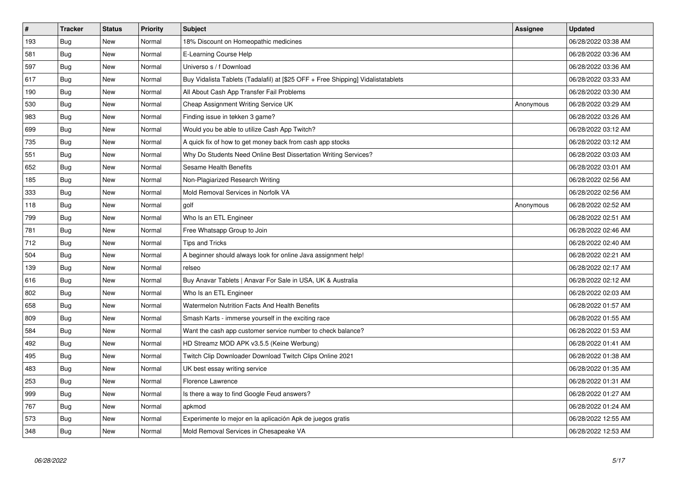| $\vert$ # | <b>Tracker</b> | <b>Status</b> | Priority | <b>Subject</b>                                                                   | <b>Assignee</b> | <b>Updated</b>      |
|-----------|----------------|---------------|----------|----------------------------------------------------------------------------------|-----------------|---------------------|
| 193       | <b>Bug</b>     | <b>New</b>    | Normal   | 18% Discount on Homeopathic medicines                                            |                 | 06/28/2022 03:38 AM |
| 581       | <b>Bug</b>     | New           | Normal   | E-Learning Course Help                                                           |                 | 06/28/2022 03:36 AM |
| 597       | <b>Bug</b>     | New           | Normal   | Universo s / f Download                                                          |                 | 06/28/2022 03:36 AM |
| 617       | Bug            | New           | Normal   | Buy Vidalista Tablets (Tadalafil) at [\$25 OFF + Free Shipping] Vidalistatablets |                 | 06/28/2022 03:33 AM |
| 190       | <b>Bug</b>     | New           | Normal   | All About Cash App Transfer Fail Problems                                        |                 | 06/28/2022 03:30 AM |
| 530       | <b>Bug</b>     | <b>New</b>    | Normal   | Cheap Assignment Writing Service UK                                              | Anonymous       | 06/28/2022 03:29 AM |
| 983       | Bug            | New           | Normal   | Finding issue in tekken 3 game?                                                  |                 | 06/28/2022 03:26 AM |
| 699       | <b>Bug</b>     | <b>New</b>    | Normal   | Would you be able to utilize Cash App Twitch?                                    |                 | 06/28/2022 03:12 AM |
| 735       | Bug            | New           | Normal   | A quick fix of how to get money back from cash app stocks                        |                 | 06/28/2022 03:12 AM |
| 551       | Bug            | New           | Normal   | Why Do Students Need Online Best Dissertation Writing Services?                  |                 | 06/28/2022 03:03 AM |
| 652       | Bug            | New           | Normal   | Sesame Health Benefits                                                           |                 | 06/28/2022 03:01 AM |
| 185       | <b>Bug</b>     | New           | Normal   | Non-Plagiarized Research Writing                                                 |                 | 06/28/2022 02:56 AM |
| 333       | <b>Bug</b>     | New           | Normal   | Mold Removal Services in Norfolk VA                                              |                 | 06/28/2022 02:56 AM |
| 118       | Bug            | <b>New</b>    | Normal   | golf                                                                             | Anonymous       | 06/28/2022 02:52 AM |
| 799       | Bug            | New           | Normal   | Who Is an ETL Engineer                                                           |                 | 06/28/2022 02:51 AM |
| 781       | Bug            | New           | Normal   | Free Whatsapp Group to Join                                                      |                 | 06/28/2022 02:46 AM |
| 712       | <b>Bug</b>     | New           | Normal   | Tips and Tricks                                                                  |                 | 06/28/2022 02:40 AM |
| 504       | Bug            | New           | Normal   | A beginner should always look for online Java assignment help!                   |                 | 06/28/2022 02:21 AM |
| 139       | Bug            | New           | Normal   | relseo                                                                           |                 | 06/28/2022 02:17 AM |
| 616       | <b>Bug</b>     | New           | Normal   | Buy Anavar Tablets   Anavar For Sale in USA, UK & Australia                      |                 | 06/28/2022 02:12 AM |
| 802       | Bug            | New           | Normal   | Who Is an ETL Engineer                                                           |                 | 06/28/2022 02:03 AM |
| 658       | <b>Bug</b>     | New           | Normal   | Watermelon Nutrition Facts And Health Benefits                                   |                 | 06/28/2022 01:57 AM |
| 809       | Bug            | New           | Normal   | Smash Karts - immerse yourself in the exciting race                              |                 | 06/28/2022 01:55 AM |
| 584       | <b>Bug</b>     | New           | Normal   | Want the cash app customer service number to check balance?                      |                 | 06/28/2022 01:53 AM |
| 492       | <b>Bug</b>     | New           | Normal   | HD Streamz MOD APK v3.5.5 (Keine Werbung)                                        |                 | 06/28/2022 01:41 AM |
| 495       | <b>Bug</b>     | <b>New</b>    | Normal   | Twitch Clip Downloader Download Twitch Clips Online 2021                         |                 | 06/28/2022 01:38 AM |
| 483       | Bug            | <b>New</b>    | Normal   | UK best essay writing service                                                    |                 | 06/28/2022 01:35 AM |
| 253       | Bug            | New           | Normal   | Florence Lawrence                                                                |                 | 06/28/2022 01:31 AM |
| 999       | <b>Bug</b>     | <b>New</b>    | Normal   | Is there a way to find Google Feud answers?                                      |                 | 06/28/2022 01:27 AM |
| 767       | Bug            | <b>New</b>    | Normal   | apkmod                                                                           |                 | 06/28/2022 01:24 AM |
| 573       | <b>Bug</b>     | New           | Normal   | Experimente lo mejor en la aplicación Apk de juegos gratis                       |                 | 06/28/2022 12:55 AM |
| 348       | <b>Bug</b>     | <b>New</b>    | Normal   | Mold Removal Services in Chesapeake VA                                           |                 | 06/28/2022 12:53 AM |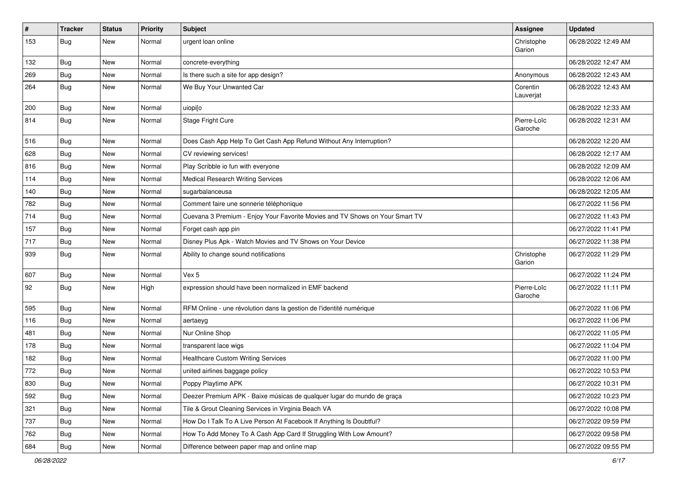| $\pmb{\#}$ | <b>Tracker</b> | <b>Status</b> | <b>Priority</b> | <b>Subject</b>                                                               | <b>Assignee</b>        | <b>Updated</b>      |
|------------|----------------|---------------|-----------------|------------------------------------------------------------------------------|------------------------|---------------------|
| 153        | <b>Bug</b>     | New           | Normal          | urgent loan online                                                           | Christophe<br>Garion   | 06/28/2022 12:49 AM |
| 132        | <b>Bug</b>     | New           | Normal          | concrete-everything                                                          |                        | 06/28/2022 12:47 AM |
| 269        | <b>Bug</b>     | New           | Normal          | Is there such a site for app design?                                         | Anonymous              | 06/28/2022 12:43 AM |
| 264        | <b>Bug</b>     | New           | Normal          | We Buy Your Unwanted Car                                                     | Corentin<br>Lauverjat  | 06/28/2022 12:43 AM |
| 200        | Bug            | New           | Normal          | uiopi[o                                                                      |                        | 06/28/2022 12:33 AM |
| 814        | <b>Bug</b>     | New           | Normal          | Stage Fright Cure                                                            | Pierre-Loïc<br>Garoche | 06/28/2022 12:31 AM |
| 516        | <b>Bug</b>     | New           | Normal          | Does Cash App Help To Get Cash App Refund Without Any Interruption?          |                        | 06/28/2022 12:20 AM |
| 628        | Bug            | New           | Normal          | CV reviewing services!                                                       |                        | 06/28/2022 12:17 AM |
| 816        | <b>Bug</b>     | New           | Normal          | Play Scribble io fun with everyone                                           |                        | 06/28/2022 12:09 AM |
| 114        | <b>Bug</b>     | New           | Normal          | <b>Medical Research Writing Services</b>                                     |                        | 06/28/2022 12:06 AM |
| 140        | <b>Bug</b>     | New           | Normal          | sugarbalanceusa                                                              |                        | 06/28/2022 12:05 AM |
| 782        | Bug            | New           | Normal          | Comment faire une sonnerie téléphonique                                      |                        | 06/27/2022 11:56 PM |
| 714        | <b>Bug</b>     | New           | Normal          | Cuevana 3 Premium - Enjoy Your Favorite Movies and TV Shows on Your Smart TV |                        | 06/27/2022 11:43 PM |
| 157        | <b>Bug</b>     | New           | Normal          | Forget cash app pin                                                          |                        | 06/27/2022 11:41 PM |
| 717        | Bug            | New           | Normal          | Disney Plus Apk - Watch Movies and TV Shows on Your Device                   |                        | 06/27/2022 11:38 PM |
| 939        | <b>Bug</b>     | New           | Normal          | Ability to change sound notifications                                        | Christophe<br>Garion   | 06/27/2022 11:29 PM |
| 607        | Bug            | New           | Normal          | Vex 5                                                                        |                        | 06/27/2022 11:24 PM |
| 92         | <b>Bug</b>     | New           | High            | expression should have been normalized in EMF backend                        | Pierre-Loïc<br>Garoche | 06/27/2022 11:11 PM |
| 595        | Bug            | New           | Normal          | RFM Online - une révolution dans la gestion de l'identité numérique          |                        | 06/27/2022 11:06 PM |
| 116        | <b>Bug</b>     | New           | Normal          | aertaeyg                                                                     |                        | 06/27/2022 11:06 PM |
| 481        | Bug            | New           | Normal          | Nur Online Shop                                                              |                        | 06/27/2022 11:05 PM |
| 178        | <b>Bug</b>     | New           | Normal          | transparent lace wigs                                                        |                        | 06/27/2022 11:04 PM |
| 182        | <b>Bug</b>     | New           | Normal          | <b>Healthcare Custom Writing Services</b>                                    |                        | 06/27/2022 11:00 PM |
| 772        | <b>Bug</b>     | New           | Normal          | united airlines baggage policy                                               |                        | 06/27/2022 10:53 PM |
| 830        | Bug            | New           | Normal          | Poppy Playtime APK                                                           |                        | 06/27/2022 10:31 PM |
| 592        | <b>Bug</b>     | New           | Normal          | Deezer Premium APK - Baixe músicas de qualquer lugar do mundo de graça       |                        | 06/27/2022 10:23 PM |
| 321        | Bug            | New           | Normal          | Tile & Grout Cleaning Services in Virginia Beach VA                          |                        | 06/27/2022 10:08 PM |
| 737        | <b>Bug</b>     | New           | Normal          | How Do I Talk To A Live Person At Facebook If Anything Is Doubtful?          |                        | 06/27/2022 09:59 PM |
| 762        | <b>Bug</b>     | New           | Normal          | How To Add Money To A Cash App Card If Struggling With Low Amount?           |                        | 06/27/2022 09:58 PM |
| 684        | <b>Bug</b>     | New           | Normal          | Difference between paper map and online map                                  |                        | 06/27/2022 09:55 PM |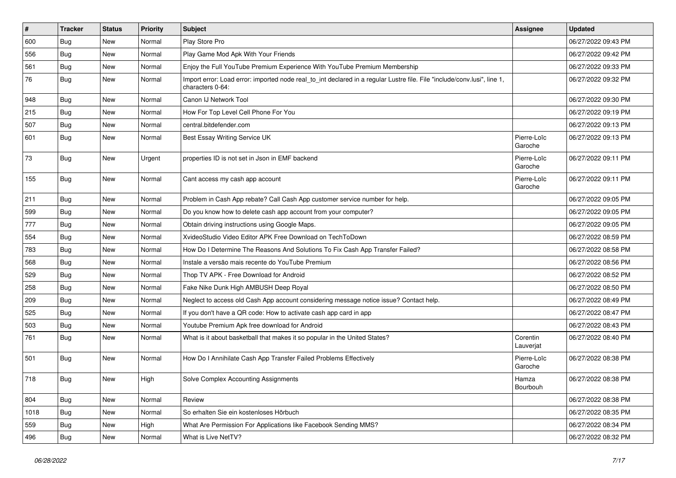| $\vert$ # | <b>Tracker</b> | <b>Status</b> | Priority | <b>Subject</b>                                                                                                                               | Assignee               | <b>Updated</b>      |
|-----------|----------------|---------------|----------|----------------------------------------------------------------------------------------------------------------------------------------------|------------------------|---------------------|
| 600       | <b>Bug</b>     | New           | Normal   | Play Store Pro                                                                                                                               |                        | 06/27/2022 09:43 PM |
| 556       | Bug            | New           | Normal   | Play Game Mod Apk With Your Friends                                                                                                          |                        | 06/27/2022 09:42 PM |
| 561       | Bug            | New           | Normal   | Enjoy the Full YouTube Premium Experience With YouTube Premium Membership                                                                    |                        | 06/27/2022 09:33 PM |
| 76        | <b>Bug</b>     | New           | Normal   | Import error: Load error: imported node real to int declared in a regular Lustre file. File "include/conv.lusi", line 1,<br>characters 0-64: |                        | 06/27/2022 09:32 PM |
| 948       | Bug            | New           | Normal   | Canon IJ Network Tool                                                                                                                        |                        | 06/27/2022 09:30 PM |
| 215       | Bug            | New           | Normal   | How For Top Level Cell Phone For You                                                                                                         |                        | 06/27/2022 09:19 PM |
| 507       | <b>Bug</b>     | New           | Normal   | central.bitdefender.com                                                                                                                      |                        | 06/27/2022 09:13 PM |
| 601       | Bug            | New           | Normal   | Best Essay Writing Service UK                                                                                                                | Pierre-Loïc<br>Garoche | 06/27/2022 09:13 PM |
| 73        | Bug            | New           | Urgent   | properties ID is not set in Json in EMF backend                                                                                              | Pierre-Loïc<br>Garoche | 06/27/2022 09:11 PM |
| 155       | <b>Bug</b>     | New           | Normal   | Cant access my cash app account                                                                                                              | Pierre-Loïc<br>Garoche | 06/27/2022 09:11 PM |
| 211       | <b>Bug</b>     | New           | Normal   | Problem in Cash App rebate? Call Cash App customer service number for help.                                                                  |                        | 06/27/2022 09:05 PM |
| 599       | Bug            | <b>New</b>    | Normal   | Do you know how to delete cash app account from your computer?                                                                               |                        | 06/27/2022 09:05 PM |
| 777       | <b>Bug</b>     | New           | Normal   | Obtain driving instructions using Google Maps.                                                                                               |                        | 06/27/2022 09:05 PM |
| 554       | <b>Bug</b>     | New           | Normal   | XvideoStudio Video Editor APK Free Download on TechToDown                                                                                    |                        | 06/27/2022 08:59 PM |
| 783       | <b>Bug</b>     | New           | Normal   | How Do I Determine The Reasons And Solutions To Fix Cash App Transfer Failed?                                                                |                        | 06/27/2022 08:58 PM |
| 568       | <b>Bug</b>     | New           | Normal   | Instale a versão mais recente do YouTube Premium                                                                                             |                        | 06/27/2022 08:56 PM |
| 529       | Bug            | New           | Normal   | Thop TV APK - Free Download for Android                                                                                                      |                        | 06/27/2022 08:52 PM |
| 258       | <b>Bug</b>     | New           | Normal   | Fake Nike Dunk High AMBUSH Deep Royal                                                                                                        |                        | 06/27/2022 08:50 PM |
| 209       | Bug            | New           | Normal   | Neglect to access old Cash App account considering message notice issue? Contact help.                                                       |                        | 06/27/2022 08:49 PM |
| 525       | <b>Bug</b>     | New           | Normal   | If you don't have a QR code: How to activate cash app card in app                                                                            |                        | 06/27/2022 08:47 PM |
| 503       | Bug            | New           | Normal   | Youtube Premium Apk free download for Android                                                                                                |                        | 06/27/2022 08:43 PM |
| 761       | <b>Bug</b>     | New           | Normal   | What is it about basketball that makes it so popular in the United States?                                                                   | Corentin<br>Lauverjat  | 06/27/2022 08:40 PM |
| 501       | <b>Bug</b>     | New           | Normal   | How Do I Annihilate Cash App Transfer Failed Problems Effectively                                                                            | Pierre-Loïc<br>Garoche | 06/27/2022 08:38 PM |
| 718       | Bug            | New           | High     | Solve Complex Accounting Assignments                                                                                                         | Hamza<br>Bourbouh      | 06/27/2022 08:38 PM |
| 804       | Bug            | New           | Normal   | Review                                                                                                                                       |                        | 06/27/2022 08:38 PM |
| 1018      | <b>Bug</b>     | New           | Normal   | So erhalten Sie ein kostenloses Hörbuch                                                                                                      |                        | 06/27/2022 08:35 PM |
| 559       | Bug            | New           | High     | What Are Permission For Applications like Facebook Sending MMS?                                                                              |                        | 06/27/2022 08:34 PM |
| 496       | <b>Bug</b>     | New           | Normal   | What is Live NetTV?                                                                                                                          |                        | 06/27/2022 08:32 PM |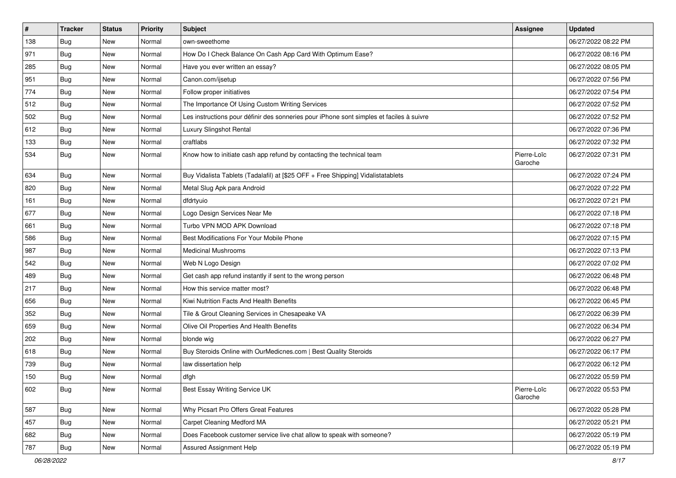| $\sharp$ | <b>Tracker</b> | <b>Status</b> | <b>Priority</b> | <b>Subject</b>                                                                           | <b>Assignee</b>        | <b>Updated</b>      |
|----------|----------------|---------------|-----------------|------------------------------------------------------------------------------------------|------------------------|---------------------|
| 138      | <b>Bug</b>     | New           | Normal          | own-sweethome                                                                            |                        | 06/27/2022 08:22 PM |
| 971      | <b>Bug</b>     | New           | Normal          | How Do I Check Balance On Cash App Card With Optimum Ease?                               |                        | 06/27/2022 08:16 PM |
| 285      | Bug            | New           | Normal          | Have you ever written an essay?                                                          |                        | 06/27/2022 08:05 PM |
| 951      | <b>Bug</b>     | <b>New</b>    | Normal          | Canon.com/ijsetup                                                                        |                        | 06/27/2022 07:56 PM |
| 774      | Bug            | New           | Normal          | Follow proper initiatives                                                                |                        | 06/27/2022 07:54 PM |
| 512      | <b>Bug</b>     | <b>New</b>    | Normal          | The Importance Of Using Custom Writing Services                                          |                        | 06/27/2022 07:52 PM |
| 502      | Bug            | New           | Normal          | Les instructions pour définir des sonneries pour iPhone sont simples et faciles à suivre |                        | 06/27/2022 07:52 PM |
| 612      | <b>Bug</b>     | New           | Normal          | Luxury Slingshot Rental                                                                  |                        | 06/27/2022 07:36 PM |
| 133      | <b>Bug</b>     | New           | Normal          | craftlabs                                                                                |                        | 06/27/2022 07:32 PM |
| 534      | <b>Bug</b>     | New           | Normal          | Know how to initiate cash app refund by contacting the technical team                    | Pierre-Loïc<br>Garoche | 06/27/2022 07:31 PM |
| 634      | Bug            | New           | Normal          | Buy Vidalista Tablets (Tadalafil) at [\$25 OFF + Free Shipping] Vidalistatablets         |                        | 06/27/2022 07:24 PM |
| 820      | Bug            | New           | Normal          | Metal Slug Apk para Android                                                              |                        | 06/27/2022 07:22 PM |
| 161      | <b>Bug</b>     | New           | Normal          | dfdrtyuio                                                                                |                        | 06/27/2022 07:21 PM |
| 677      | <b>Bug</b>     | <b>New</b>    | Normal          | Logo Design Services Near Me                                                             |                        | 06/27/2022 07:18 PM |
| 661      | <b>Bug</b>     | New           | Normal          | Turbo VPN MOD APK Download                                                               |                        | 06/27/2022 07:18 PM |
| 586      | <b>Bug</b>     | <b>New</b>    | Normal          | Best Modifications For Your Mobile Phone                                                 |                        | 06/27/2022 07:15 PM |
| 987      | Bug            | New           | Normal          | <b>Medicinal Mushrooms</b>                                                               |                        | 06/27/2022 07:13 PM |
| 542      | <b>Bug</b>     | New           | Normal          | Web N Logo Design                                                                        |                        | 06/27/2022 07:02 PM |
| 489      | Bug            | New           | Normal          | Get cash app refund instantly if sent to the wrong person                                |                        | 06/27/2022 06:48 PM |
| 217      | Bug            | <b>New</b>    | Normal          | How this service matter most?                                                            |                        | 06/27/2022 06:48 PM |
| 656      | <b>Bug</b>     | New           | Normal          | Kiwi Nutrition Facts And Health Benefits                                                 |                        | 06/27/2022 06:45 PM |
| 352      | Bug            | New           | Normal          | Tile & Grout Cleaning Services in Chesapeake VA                                          |                        | 06/27/2022 06:39 PM |
| 659      | <b>Bug</b>     | New           | Normal          | Olive Oil Properties And Health Benefits                                                 |                        | 06/27/2022 06:34 PM |
| 202      | Bug            | New           | Normal          | blonde wig                                                                               |                        | 06/27/2022 06:27 PM |
| 618      | <b>Bug</b>     | New           | Normal          | Buy Steroids Online with OurMedicnes.com   Best Quality Steroids                         |                        | 06/27/2022 06:17 PM |
| 739      | <b>Bug</b>     | New           | Normal          | law dissertation help                                                                    |                        | 06/27/2022 06:12 PM |
| 150      | <b>Bug</b>     | New           | Normal          | dfgh                                                                                     |                        | 06/27/2022 05:59 PM |
| 602      | <b>Bug</b>     | New           | Normal          | Best Essay Writing Service UK                                                            | Pierre-Loïc<br>Garoche | 06/27/2022 05:53 PM |
| 587      | Bug            | New           | Normal          | Why Picsart Pro Offers Great Features                                                    |                        | 06/27/2022 05:28 PM |
| 457      | <b>Bug</b>     | New           | Normal          | Carpet Cleaning Medford MA                                                               |                        | 06/27/2022 05:21 PM |
| 682      | <b>Bug</b>     | New           | Normal          | Does Facebook customer service live chat allow to speak with someone?                    |                        | 06/27/2022 05:19 PM |
| 787      | <b>Bug</b>     | New           | Normal          | <b>Assured Assignment Help</b>                                                           |                        | 06/27/2022 05:19 PM |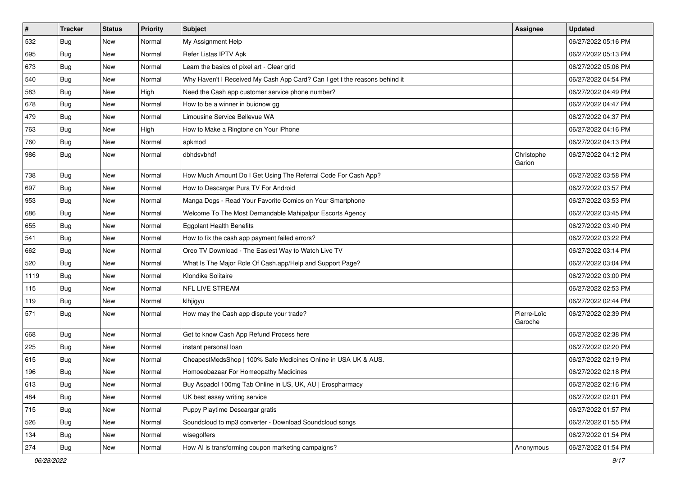| $\vert$ # | <b>Tracker</b> | <b>Status</b> | Priority | Subject                                                                    | <b>Assignee</b>        | <b>Updated</b>      |
|-----------|----------------|---------------|----------|----------------------------------------------------------------------------|------------------------|---------------------|
| 532       | <b>Bug</b>     | New           | Normal   | My Assignment Help                                                         |                        | 06/27/2022 05:16 PM |
| 695       | <b>Bug</b>     | New           | Normal   | Refer Listas IPTV Apk                                                      |                        | 06/27/2022 05:13 PM |
| 673       | Bug            | New           | Normal   | Learn the basics of pixel art - Clear grid                                 |                        | 06/27/2022 05:06 PM |
| 540       | <b>Bug</b>     | New           | Normal   | Why Haven't I Received My Cash App Card? Can I get t the reasons behind it |                        | 06/27/2022 04:54 PM |
| 583       | Bug            | <b>New</b>    | High     | Need the Cash app customer service phone number?                           |                        | 06/27/2022 04:49 PM |
| 678       | <b>Bug</b>     | New           | Normal   | How to be a winner in buidnow gg                                           |                        | 06/27/2022 04:47 PM |
| 479       | <b>Bug</b>     | New           | Normal   | Limousine Service Bellevue WA                                              |                        | 06/27/2022 04:37 PM |
| 763       | <b>Bug</b>     | New           | High     | How to Make a Ringtone on Your iPhone                                      |                        | 06/27/2022 04:16 PM |
| 760       | <b>Bug</b>     | New           | Normal   | apkmod                                                                     |                        | 06/27/2022 04:13 PM |
| 986       | Bug            | <b>New</b>    | Normal   | dbhdsvbhdf                                                                 | Christophe<br>Garion   | 06/27/2022 04:12 PM |
| 738       | Bug            | New           | Normal   | How Much Amount Do I Get Using The Referral Code For Cash App?             |                        | 06/27/2022 03:58 PM |
| 697       | <b>Bug</b>     | <b>New</b>    | Normal   | How to Descargar Pura TV For Android                                       |                        | 06/27/2022 03:57 PM |
| 953       | Bug            | New           | Normal   | Manga Dogs - Read Your Favorite Comics on Your Smartphone                  |                        | 06/27/2022 03:53 PM |
| 686       | <b>Bug</b>     | <b>New</b>    | Normal   | Welcome To The Most Demandable Mahipalpur Escorts Agency                   |                        | 06/27/2022 03:45 PM |
| 655       | <b>Bug</b>     | New           | Normal   | <b>Eggplant Health Benefits</b>                                            |                        | 06/27/2022 03:40 PM |
| 541       | <b>Bug</b>     | New           | Normal   | How to fix the cash app payment failed errors?                             |                        | 06/27/2022 03:22 PM |
| 662       | Bug            | <b>New</b>    | Normal   | Oreo TV Download - The Easiest Way to Watch Live TV                        |                        | 06/27/2022 03:14 PM |
| 520       | Bug            | New           | Normal   | What Is The Major Role Of Cash.app/Help and Support Page?                  |                        | 06/27/2022 03:04 PM |
| 1119      | Bug            | <b>New</b>    | Normal   | Klondike Solitaire                                                         |                        | 06/27/2022 03:00 PM |
| 115       | Bug            | <b>New</b>    | Normal   | <b>NFL LIVE STREAM</b>                                                     |                        | 06/27/2022 02:53 PM |
| 119       | <b>Bug</b>     | <b>New</b>    | Normal   | klhjigyu                                                                   |                        | 06/27/2022 02:44 PM |
| 571       | <b>Bug</b>     | New           | Normal   | How may the Cash app dispute your trade?                                   | Pierre-Loïc<br>Garoche | 06/27/2022 02:39 PM |
| 668       | <b>Bug</b>     | New           | Normal   | Get to know Cash App Refund Process here                                   |                        | 06/27/2022 02:38 PM |
| 225       | Bug            | <b>New</b>    | Normal   | instant personal loan                                                      |                        | 06/27/2022 02:20 PM |
| 615       | <b>Bug</b>     | New           | Normal   | CheapestMedsShop   100% Safe Medicines Online in USA UK & AUS.             |                        | 06/27/2022 02:19 PM |
| 196       | <b>Bug</b>     | New           | Normal   | Homoeobazaar For Homeopathy Medicines                                      |                        | 06/27/2022 02:18 PM |
| 613       | Bug            | New           | Normal   | Buy Aspadol 100mg Tab Online in US, UK, AU   Erospharmacy                  |                        | 06/27/2022 02:16 PM |
| 484       | Bug            | New           | Normal   | UK best essay writing service                                              |                        | 06/27/2022 02:01 PM |
| 715       | <b>Bug</b>     | <b>New</b>    | Normal   | Puppy Playtime Descargar gratis                                            |                        | 06/27/2022 01:57 PM |
| 526       | <b>Bug</b>     | New           | Normal   | Soundcloud to mp3 converter - Download Soundcloud songs                    |                        | 06/27/2022 01:55 PM |
| 134       | <b>Bug</b>     | New           | Normal   | wisegolfers                                                                |                        | 06/27/2022 01:54 PM |
| 274       | <b>Bug</b>     | New           | Normal   | How AI is transforming coupon marketing campaigns?                         | Anonymous              | 06/27/2022 01:54 PM |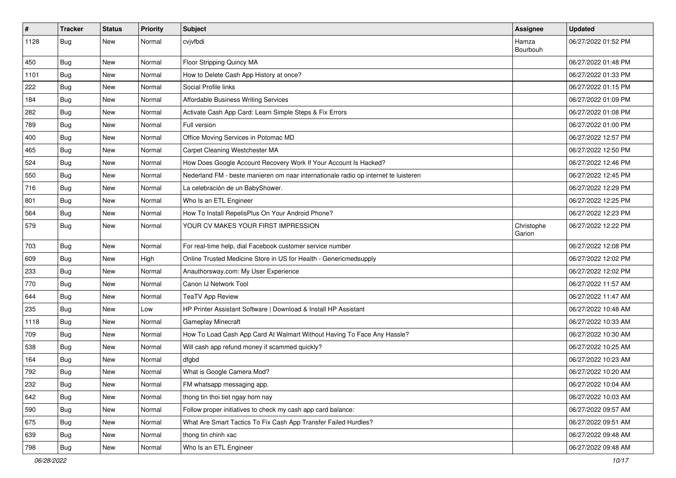| $\vert$ # | <b>Tracker</b> | <b>Status</b> | Priority | <b>Subject</b>                                                                      | <b>Assignee</b>      | <b>Updated</b>      |
|-----------|----------------|---------------|----------|-------------------------------------------------------------------------------------|----------------------|---------------------|
| 1128      | Bug            | New           | Normal   | cvjvfbdi                                                                            | Hamza<br>Bourbouh    | 06/27/2022 01:52 PM |
| 450       | <b>Bug</b>     | New           | Normal   | Floor Stripping Quincy MA                                                           |                      | 06/27/2022 01:48 PM |
| 1101      | <b>Bug</b>     | New           | Normal   | How to Delete Cash App History at once?                                             |                      | 06/27/2022 01:33 PM |
| 222       | Bug            | New           | Normal   | Social Profile links                                                                |                      | 06/27/2022 01:15 PM |
| 184       | <b>Bug</b>     | New           | Normal   | Affordable Business Writing Services                                                |                      | 06/27/2022 01:09 PM |
| 282       | <b>Bug</b>     | New           | Normal   | Activate Cash App Card: Learn Simple Steps & Fix Errors                             |                      | 06/27/2022 01:08 PM |
| 789       | <b>Bug</b>     | New           | Normal   | Full version                                                                        |                      | 06/27/2022 01:00 PM |
| 400       | <b>Bug</b>     | New           | Normal   | Office Moving Services in Potomac MD                                                |                      | 06/27/2022 12:57 PM |
| 465       | Bug            | New           | Normal   | Carpet Cleaning Westchester MA                                                      |                      | 06/27/2022 12:50 PM |
| 524       | <b>Bug</b>     | New           | Normal   | How Does Google Account Recovery Work If Your Account Is Hacked?                    |                      | 06/27/2022 12:46 PM |
| 550       | <b>Bug</b>     | New           | Normal   | Nederland FM - beste manieren om naar internationale radio op internet te luisteren |                      | 06/27/2022 12:45 PM |
| 716       | <b>Bug</b>     | New           | Normal   | La celebración de un BabyShower.                                                    |                      | 06/27/2022 12:29 PM |
| 801       | Bug            | New           | Normal   | Who Is an ETL Engineer                                                              |                      | 06/27/2022 12:25 PM |
| 564       | Bug            | <b>New</b>    | Normal   | How To Install RepelisPlus On Your Android Phone?                                   |                      | 06/27/2022 12:23 PM |
| 579       | Bug            | New           | Normal   | YOUR CV MAKES YOUR FIRST IMPRESSION                                                 | Christophe<br>Garion | 06/27/2022 12:22 PM |
| 703       | <b>Bug</b>     | New           | Normal   | For real-time help, dial Facebook customer service number                           |                      | 06/27/2022 12:08 PM |
| 609       | <b>Bug</b>     | New           | High     | Online Trusted Medicine Store in US for Health - Genericmedsupply                   |                      | 06/27/2022 12:02 PM |
| 233       | Bug            | New           | Normal   | Anauthorsway.com: My User Experience                                                |                      | 06/27/2022 12:02 PM |
| 770       | <b>Bug</b>     | New           | Normal   | Canon IJ Network Tool                                                               |                      | 06/27/2022 11:57 AM |
| 644       | <b>Bug</b>     | New           | Normal   | <b>TeaTV App Review</b>                                                             |                      | 06/27/2022 11:47 AM |
| 235       | Bug            | New           | Low      | HP Printer Assistant Software   Download & Install HP Assistant                     |                      | 06/27/2022 10:48 AM |
| 1118      | <b>Bug</b>     | New           | Normal   | <b>Gameplay Minecraft</b>                                                           |                      | 06/27/2022 10:33 AM |
| 709       | <b>Bug</b>     | New           | Normal   | How To Load Cash App Card At Walmart Without Having To Face Any Hassle?             |                      | 06/27/2022 10:30 AM |
| 538       | Bug            | New           | Normal   | Will cash app refund money if scammed quickly?                                      |                      | 06/27/2022 10:25 AM |
| 164       | <b>Bug</b>     | New           | Normal   | dfgbd                                                                               |                      | 06/27/2022 10:23 AM |
| 792       | <b>Bug</b>     | New           | Normal   | What is Google Camera Mod?                                                          |                      | 06/27/2022 10:20 AM |
| 232       | Bug            | New           | Normal   | FM whatsapp messaging app.                                                          |                      | 06/27/2022 10:04 AM |
| 642       | <b>Bug</b>     | New           | Normal   | thong tin thoi tiet ngay hom nay                                                    |                      | 06/27/2022 10:03 AM |
| 590       | <b>Bug</b>     | New           | Normal   | Follow proper initiatives to check my cash app card balance:                        |                      | 06/27/2022 09:57 AM |
| 675       | Bug            | New           | Normal   | What Are Smart Tactics To Fix Cash App Transfer Failed Hurdles?                     |                      | 06/27/2022 09:51 AM |
| 639       | <b>Bug</b>     | New           | Normal   | thong tin chinh xac                                                                 |                      | 06/27/2022 09:48 AM |
| 798       | Bug            | New           | Normal   | Who Is an ETL Engineer                                                              |                      | 06/27/2022 09:48 AM |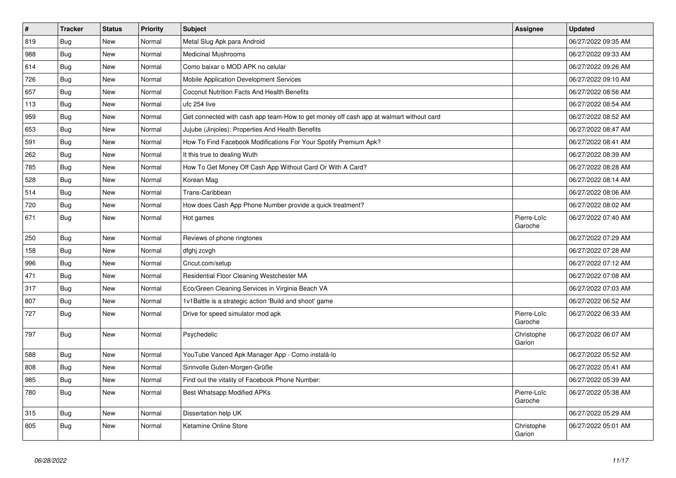| $\vert$ # | <b>Tracker</b> | <b>Status</b> | <b>Priority</b> | <b>Subject</b>                                                                         | <b>Assignee</b>        | <b>Updated</b>      |
|-----------|----------------|---------------|-----------------|----------------------------------------------------------------------------------------|------------------------|---------------------|
| 819       | <b>Bug</b>     | <b>New</b>    | Normal          | Metal Slug Apk para Android                                                            |                        | 06/27/2022 09:35 AM |
| 988       | Bug            | <b>New</b>    | Normal          | <b>Medicinal Mushrooms</b>                                                             |                        | 06/27/2022 09:33 AM |
| 614       | <b>Bug</b>     | <b>New</b>    | Normal          | Como baixar o MOD APK no celular                                                       |                        | 06/27/2022 09:26 AM |
| 726       | Bug            | <b>New</b>    | Normal          | Mobile Application Development Services                                                |                        | 06/27/2022 09:10 AM |
| 657       | <b>Bug</b>     | <b>New</b>    | Normal          | Coconut Nutrition Facts And Health Benefits                                            |                        | 06/27/2022 08:56 AM |
| 113       | <b>Bug</b>     | <b>New</b>    | Normal          | ufc 254 live                                                                           |                        | 06/27/2022 08:54 AM |
| 959       | Bug            | <b>New</b>    | Normal          | Get connected with cash app team-How to get money off cash app at walmart without card |                        | 06/27/2022 08:52 AM |
| 653       | <b>Bug</b>     | <b>New</b>    | Normal          | Jujube (Jinjoles): Properties And Health Benefits                                      |                        | 06/27/2022 08:47 AM |
| 591       | <b>Bug</b>     | New           | Normal          | How To Find Facebook Modifications For Your Spotify Premium Apk?                       |                        | 06/27/2022 08:41 AM |
| 262       | <b>Bug</b>     | <b>New</b>    | Normal          | It this true to dealing Wuth                                                           |                        | 06/27/2022 08:39 AM |
| 785       | Bug            | <b>New</b>    | Normal          | How To Get Money Off Cash App Without Card Or With A Card?                             |                        | 06/27/2022 08:28 AM |
| 528       | Bug            | <b>New</b>    | Normal          | Korean Mag                                                                             |                        | 06/27/2022 08:14 AM |
| 514       | Bug            | New           | Normal          | Trans-Caribbean                                                                        |                        | 06/27/2022 08:06 AM |
| 720       | <b>Bug</b>     | <b>New</b>    | Normal          | How does Cash App Phone Number provide a quick treatment?                              |                        | 06/27/2022 08:02 AM |
| 671       | <b>Bug</b>     | <b>New</b>    | Normal          | Hot games                                                                              | Pierre-Loïc<br>Garoche | 06/27/2022 07:40 AM |
| 250       | Bug            | New           | Normal          | Reviews of phone ringtones                                                             |                        | 06/27/2022 07:29 AM |
| 158       | Bug            | New           | Normal          | dfghj zcvgh                                                                            |                        | 06/27/2022 07:28 AM |
| 996       | <b>Bug</b>     | <b>New</b>    | Normal          | Cricut.com/setup                                                                       |                        | 06/27/2022 07:12 AM |
| 471       | <b>Bug</b>     | <b>New</b>    | Normal          | Residential Floor Cleaning Westchester MA                                              |                        | 06/27/2022 07:08 AM |
| 317       | Bug            | <b>New</b>    | Normal          | Eco/Green Cleaning Services in Virginia Beach VA                                       |                        | 06/27/2022 07:03 AM |
| 807       | Bug            | <b>New</b>    | Normal          | 1v1Battle is a strategic action 'Build and shoot' game                                 |                        | 06/27/2022 06:52 AM |
| 727       | <b>Bug</b>     | New           | Normal          | Drive for speed simulator mod apk                                                      | Pierre-Loïc<br>Garoche | 06/27/2022 06:33 AM |
| 797       | Bug            | New           | Normal          | Psychedelic                                                                            | Christophe<br>Garion   | 06/27/2022 06:07 AM |
| 588       | <b>Bug</b>     | New           | Normal          | YouTube Vanced Apk Manager App - Como instalá-lo                                       |                        | 06/27/2022 05:52 AM |
| 808       | <b>Bug</b>     | New           | Normal          | Sinnvolle Guten-Morgen-Grüße                                                           |                        | 06/27/2022 05:41 AM |
| 985       | Bug            | New           | Normal          | Find out the vitality of Facebook Phone Number:                                        |                        | 06/27/2022 05:39 AM |
| 780       | Bug            | New           | Normal          | <b>Best Whatsapp Modified APKs</b>                                                     | Pierre-Loïc<br>Garoche | 06/27/2022 05:38 AM |
| 315       | <b>Bug</b>     | <b>New</b>    | Normal          | Dissertation help UK                                                                   |                        | 06/27/2022 05:29 AM |
| 805       | <b>Bug</b>     | <b>New</b>    | Normal          | Ketamine Online Store                                                                  | Christophe<br>Garion   | 06/27/2022 05:01 AM |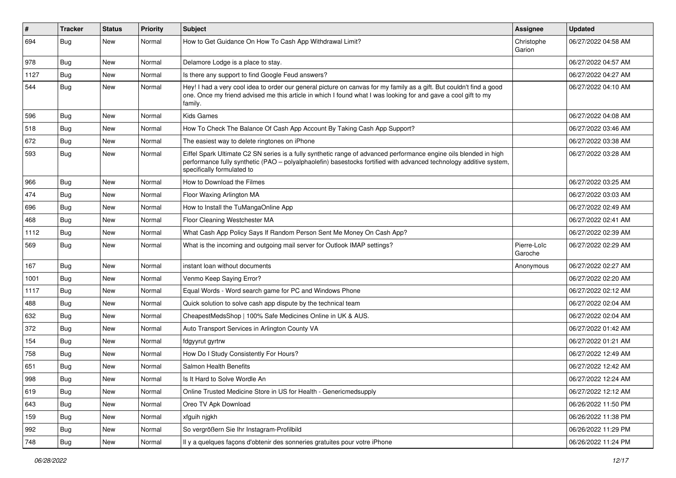| $\sharp$ | <b>Tracker</b> | <b>Status</b> | <b>Priority</b> | Subject                                                                                                                                                                                                                                                               | Assignee               | <b>Updated</b>      |
|----------|----------------|---------------|-----------------|-----------------------------------------------------------------------------------------------------------------------------------------------------------------------------------------------------------------------------------------------------------------------|------------------------|---------------------|
| 694      | Bug            | New           | Normal          | How to Get Guidance On How To Cash App Withdrawal Limit?                                                                                                                                                                                                              | Christophe<br>Garion   | 06/27/2022 04:58 AM |
| 978      | <b>Bug</b>     | New           | Normal          | Delamore Lodge is a place to stay.                                                                                                                                                                                                                                    |                        | 06/27/2022 04:57 AM |
| 1127     | <b>Bug</b>     | New           | Normal          | Is there any support to find Google Feud answers?                                                                                                                                                                                                                     |                        | 06/27/2022 04:27 AM |
| 544      | Bug            | New           | Normal          | Hey! I had a very cool idea to order our general picture on canvas for my family as a gift. But couldn't find a good<br>one. Once my friend advised me this article in which I found what I was looking for and gave a cool gift to my<br>family.                     |                        | 06/27/2022 04:10 AM |
| 596      | <b>Bug</b>     | New           | Normal          | Kids Games                                                                                                                                                                                                                                                            |                        | 06/27/2022 04:08 AM |
| 518      | <b>Bug</b>     | New           | Normal          | How To Check The Balance Of Cash App Account By Taking Cash App Support?                                                                                                                                                                                              |                        | 06/27/2022 03:46 AM |
| 672      | <b>Bug</b>     | New           | Normal          | The easiest way to delete ringtones on iPhone                                                                                                                                                                                                                         |                        | 06/27/2022 03:38 AM |
| 593      | <b>Bug</b>     | New           | Normal          | Eiffel Spark Ultimate C2 SN series is a fully synthetic range of advanced performance engine oils blended in high<br>performance fully synthetic (PAO - polyalphaolefin) basestocks fortified with advanced technology additive system,<br>specifically formulated to |                        | 06/27/2022 03:28 AM |
| 966      | Bug            | New           | Normal          | How to Download the Filmes                                                                                                                                                                                                                                            |                        | 06/27/2022 03:25 AM |
| 474      | <b>Bug</b>     | New           | Normal          | Floor Waxing Arlington MA                                                                                                                                                                                                                                             |                        | 06/27/2022 03:03 AM |
| 696      | <b>Bug</b>     | New           | Normal          | How to Install the TuMangaOnline App                                                                                                                                                                                                                                  |                        | 06/27/2022 02:49 AM |
| 468      | Bug            | New           | Normal          | Floor Cleaning Westchester MA                                                                                                                                                                                                                                         |                        | 06/27/2022 02:41 AM |
| 1112     | Bug            | New           | Normal          | What Cash App Policy Says If Random Person Sent Me Money On Cash App?                                                                                                                                                                                                 |                        | 06/27/2022 02:39 AM |
| 569      | <b>Bug</b>     | New           | Normal          | What is the incoming and outgoing mail server for Outlook IMAP settings?                                                                                                                                                                                              | Pierre-Loïc<br>Garoche | 06/27/2022 02:29 AM |
| 167      | Bug            | New           | Normal          | instant loan without documents                                                                                                                                                                                                                                        | Anonymous              | 06/27/2022 02:27 AM |
| 1001     | <b>Bug</b>     | New           | Normal          | Venmo Keep Saying Error?                                                                                                                                                                                                                                              |                        | 06/27/2022 02:20 AM |
| 1117     | <b>Bug</b>     | New           | Normal          | Equal Words - Word search game for PC and Windows Phone                                                                                                                                                                                                               |                        | 06/27/2022 02:12 AM |
| 488      | Bug            | New           | Normal          | Quick solution to solve cash app dispute by the technical team                                                                                                                                                                                                        |                        | 06/27/2022 02:04 AM |
| 632      | Bug            | New           | Normal          | CheapestMedsShop   100% Safe Medicines Online in UK & AUS.                                                                                                                                                                                                            |                        | 06/27/2022 02:04 AM |
| 372      | Bug            | New           | Normal          | Auto Transport Services in Arlington County VA                                                                                                                                                                                                                        |                        | 06/27/2022 01:42 AM |
| 154      | <b>Bug</b>     | New           | Normal          | fdgyyrut gyrtrw                                                                                                                                                                                                                                                       |                        | 06/27/2022 01:21 AM |
| 758      | Bug            | New           | Normal          | How Do I Study Consistently For Hours?                                                                                                                                                                                                                                |                        | 06/27/2022 12:49 AM |
| 651      | Bug            | New           | Normal          | Salmon Health Benefits                                                                                                                                                                                                                                                |                        | 06/27/2022 12:42 AM |
| 998      | Bug            | New           | Normal          | Is It Hard to Solve Wordle An                                                                                                                                                                                                                                         |                        | 06/27/2022 12:24 AM |
| 619      | <b>Bug</b>     | New           | Normal          | Online Trusted Medicine Store in US for Health - Genericmedsupply                                                                                                                                                                                                     |                        | 06/27/2022 12:12 AM |
| 643      | Bug            | New           | Normal          | Oreo TV Apk Download                                                                                                                                                                                                                                                  |                        | 06/26/2022 11:50 PM |
| 159      | Bug            | New           | Normal          | xfguih njgkh                                                                                                                                                                                                                                                          |                        | 06/26/2022 11:38 PM |
| 992      | Bug            | New           | Normal          | So vergrößern Sie Ihr Instagram-Profilbild                                                                                                                                                                                                                            |                        | 06/26/2022 11:29 PM |
| 748      | Bug            | New           | Normal          | Il y a quelques façons d'obtenir des sonneries gratuites pour votre iPhone                                                                                                                                                                                            |                        | 06/26/2022 11:24 PM |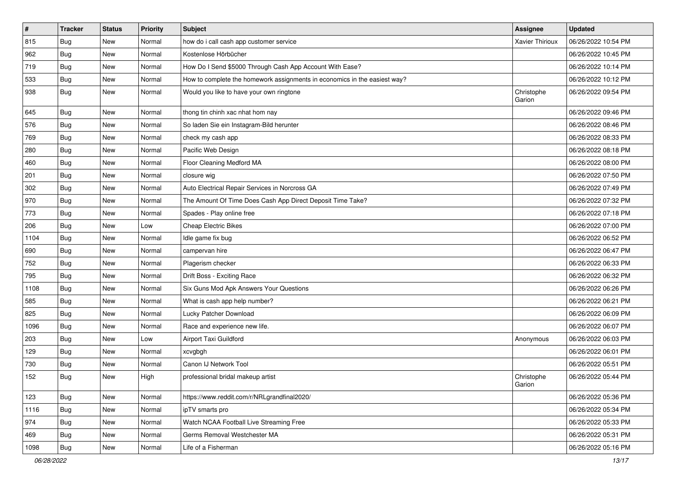| $\vert$ # | <b>Tracker</b> | <b>Status</b> | Priority | Subject                                                                   | <b>Assignee</b>        | <b>Updated</b>      |
|-----------|----------------|---------------|----------|---------------------------------------------------------------------------|------------------------|---------------------|
| 815       | <b>Bug</b>     | New           | Normal   | how do i call cash app customer service                                   | <b>Xavier Thirioux</b> | 06/26/2022 10:54 PM |
| 962       | Bug            | New           | Normal   | Kostenlose Hörbücher                                                      |                        | 06/26/2022 10:45 PM |
| 719       | <b>Bug</b>     | <b>New</b>    | Normal   | How Do I Send \$5000 Through Cash App Account With Ease?                  |                        | 06/26/2022 10:14 PM |
| 533       | <b>Bug</b>     | New           | Normal   | How to complete the homework assignments in economics in the easiest way? |                        | 06/26/2022 10:12 PM |
| 938       | Bug            | <b>New</b>    | Normal   | Would you like to have your own ringtone                                  | Christophe<br>Garion   | 06/26/2022 09:54 PM |
| 645       | Bug            | <b>New</b>    | Normal   | thong tin chinh xac nhat hom nay                                          |                        | 06/26/2022 09:46 PM |
| 576       | Bug            | <b>New</b>    | Normal   | So laden Sie ein Instagram-Bild herunter                                  |                        | 06/26/2022 08:46 PM |
| 769       | <b>Bug</b>     | New           | Normal   | check my cash app                                                         |                        | 06/26/2022 08:33 PM |
| 280       | <b>Bug</b>     | <b>New</b>    | Normal   | Pacific Web Design                                                        |                        | 06/26/2022 08:18 PM |
| 460       | Bug            | <b>New</b>    | Normal   | Floor Cleaning Medford MA                                                 |                        | 06/26/2022 08:00 PM |
| 201       | <b>Bug</b>     | New           | Normal   | closure wig                                                               |                        | 06/26/2022 07:50 PM |
| 302       | <b>Bug</b>     | <b>New</b>    | Normal   | Auto Electrical Repair Services in Norcross GA                            |                        | 06/26/2022 07:49 PM |
| 970       | <b>Bug</b>     | New           | Normal   | The Amount Of Time Does Cash App Direct Deposit Time Take?                |                        | 06/26/2022 07:32 PM |
| 773       | <b>Bug</b>     | <b>New</b>    | Normal   | Spades - Play online free                                                 |                        | 06/26/2022 07:18 PM |
| 206       | <b>Bug</b>     | New           | Low      | <b>Cheap Electric Bikes</b>                                               |                        | 06/26/2022 07:00 PM |
| 1104      | <b>Bug</b>     | New           | Normal   | Idle game fix bug                                                         |                        | 06/26/2022 06:52 PM |
| 690       | Bug            | <b>New</b>    | Normal   | campervan hire                                                            |                        | 06/26/2022 06:47 PM |
| 752       | Bug            | New           | Normal   | Plagerism checker                                                         |                        | 06/26/2022 06:33 PM |
| 795       | Bug            | <b>New</b>    | Normal   | Drift Boss - Exciting Race                                                |                        | 06/26/2022 06:32 PM |
| 1108      | Bug            | <b>New</b>    | Normal   | Six Guns Mod Apk Answers Your Questions                                   |                        | 06/26/2022 06:26 PM |
| 585       | <b>Bug</b>     | <b>New</b>    | Normal   | What is cash app help number?                                             |                        | 06/26/2022 06:21 PM |
| 825       | <b>Bug</b>     | <b>New</b>    | Normal   | Lucky Patcher Download                                                    |                        | 06/26/2022 06:09 PM |
| 1096      | Bug            | New           | Normal   | Race and experience new life.                                             |                        | 06/26/2022 06:07 PM |
| 203       | <b>Bug</b>     | New           | Low      | Airport Taxi Guildford                                                    | Anonymous              | 06/26/2022 06:03 PM |
| 129       | <b>Bug</b>     | <b>New</b>    | Normal   | xcvgbgh                                                                   |                        | 06/26/2022 06:01 PM |
| 730       | <b>Bug</b>     | New           | Normal   | Canon IJ Network Tool                                                     |                        | 06/26/2022 05:51 PM |
| 152       | <b>Bug</b>     | New           | High     | professional bridal makeup artist                                         | Christophe<br>Garion   | 06/26/2022 05:44 PM |
| 123       | Bug            | <b>New</b>    | Normal   | https://www.reddit.com/r/NRLgrandfinal2020/                               |                        | 06/26/2022 05:36 PM |
| 1116      | <b>Bug</b>     | <b>New</b>    | Normal   | ipTV smarts pro                                                           |                        | 06/26/2022 05:34 PM |
| 974       | Bug            | New           | Normal   | Watch NCAA Football Live Streaming Free                                   |                        | 06/26/2022 05:33 PM |
| 469       | Bug            | New           | Normal   | Germs Removal Westchester MA                                              |                        | 06/26/2022 05:31 PM |
| 1098      | <b>Bug</b>     | New           | Normal   | Life of a Fisherman                                                       |                        | 06/26/2022 05:16 PM |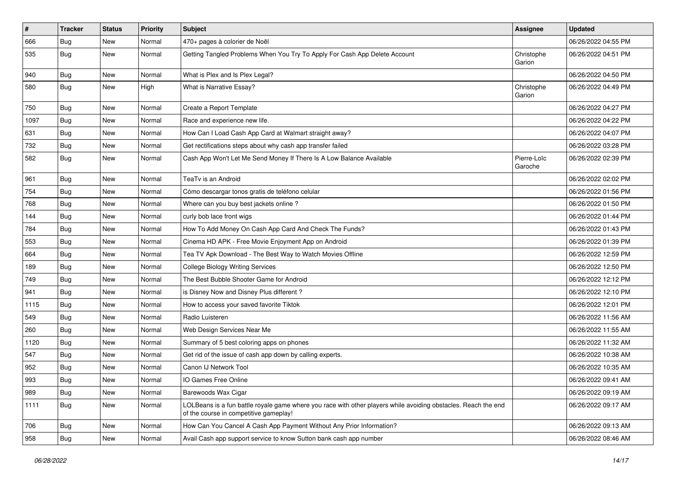| $\pmb{\#}$ | <b>Tracker</b> | <b>Status</b> | <b>Priority</b> | <b>Subject</b>                                                                                                                                           | <b>Assignee</b>        | <b>Updated</b>      |
|------------|----------------|---------------|-----------------|----------------------------------------------------------------------------------------------------------------------------------------------------------|------------------------|---------------------|
| 666        | Bug            | New           | Normal          | 470+ pages à colorier de Noël                                                                                                                            |                        | 06/26/2022 04:55 PM |
| 535        | <b>Bug</b>     | New           | Normal          | Getting Tangled Problems When You Try To Apply For Cash App Delete Account                                                                               | Christophe<br>Garion   | 06/26/2022 04:51 PM |
| 940        | <b>Bug</b>     | New           | Normal          | What is Plex and Is Plex Legal?                                                                                                                          |                        | 06/26/2022 04:50 PM |
| 580        | Bug            | New           | High            | What is Narrative Essay?                                                                                                                                 | Christophe<br>Garion   | 06/26/2022 04:49 PM |
| 750        | Bug            | New           | Normal          | Create a Report Template                                                                                                                                 |                        | 06/26/2022 04:27 PM |
| 1097       | <b>Bug</b>     | <b>New</b>    | Normal          | Race and experience new life.                                                                                                                            |                        | 06/26/2022 04:22 PM |
| 631        | Bug            | New           | Normal          | How Can I Load Cash App Card at Walmart straight away?                                                                                                   |                        | 06/26/2022 04:07 PM |
| 732        | Bug            | <b>New</b>    | Normal          | Get rectifications steps about why cash app transfer failed                                                                                              |                        | 06/26/2022 03:28 PM |
| 582        | <b>Bug</b>     | New           | Normal          | Cash App Won't Let Me Send Money If There Is A Low Balance Available                                                                                     | Pierre-Loïc<br>Garoche | 06/26/2022 02:39 PM |
| 961        | Bug            | New           | Normal          | TeaTv is an Android                                                                                                                                      |                        | 06/26/2022 02:02 PM |
| 754        | <b>Bug</b>     | New           | Normal          | Cómo descargar tonos gratis de teléfono celular                                                                                                          |                        | 06/26/2022 01:56 PM |
| 768        | Bug            | New           | Normal          | Where can you buy best jackets online?                                                                                                                   |                        | 06/26/2022 01:50 PM |
| 144        | <b>Bug</b>     | New           | Normal          | curly bob lace front wigs                                                                                                                                |                        | 06/26/2022 01:44 PM |
| 784        | Bug            | New           | Normal          | How To Add Money On Cash App Card And Check The Funds?                                                                                                   |                        | 06/26/2022 01:43 PM |
| 553        | Bug            | New           | Normal          | Cinema HD APK - Free Movie Enjoyment App on Android                                                                                                      |                        | 06/26/2022 01:39 PM |
| 664        | <b>Bug</b>     | New           | Normal          | Tea TV Apk Download - The Best Way to Watch Movies Offline                                                                                               |                        | 06/26/2022 12:59 PM |
| 189        | Bug            | New           | Normal          | <b>College Biology Writing Services</b>                                                                                                                  |                        | 06/26/2022 12:50 PM |
| 749        | Bug            | <b>New</b>    | Normal          | The Best Bubble Shooter Game for Android                                                                                                                 |                        | 06/26/2022 12:12 PM |
| 941        | <b>Bug</b>     | New           | Normal          | is Disney Now and Disney Plus different?                                                                                                                 |                        | 06/26/2022 12:10 PM |
| 1115       | <b>Bug</b>     | New           | Normal          | How to access your saved favorite Tiktok                                                                                                                 |                        | 06/26/2022 12:01 PM |
| 549        | Bug            | New           | Normal          | Radio Luisteren                                                                                                                                          |                        | 06/26/2022 11:56 AM |
| 260        | <b>Bug</b>     | New           | Normal          | Web Design Services Near Me                                                                                                                              |                        | 06/26/2022 11:55 AM |
| 1120       | Bug            | New           | Normal          | Summary of 5 best coloring apps on phones                                                                                                                |                        | 06/26/2022 11:32 AM |
| 547        | <b>Bug</b>     | New           | Normal          | Get rid of the issue of cash app down by calling experts.                                                                                                |                        | 06/26/2022 10:38 AM |
| 952        | <b>Bug</b>     | New           | Normal          | Canon IJ Network Tool                                                                                                                                    |                        | 06/26/2022 10:35 AM |
| 993        | Bug            | New           | Normal          | IO Games Free Online                                                                                                                                     |                        | 06/26/2022 09:41 AM |
| 989        | <b>Bug</b>     | New           | Normal          | Barewoods Wax Cigar                                                                                                                                      |                        | 06/26/2022 09:19 AM |
| 1111       | <b>Bug</b>     | New           | Normal          | LOLBeans is a fun battle royale game where you race with other players while avoiding obstacles. Reach the end<br>of the course in competitive gameplay! |                        | 06/26/2022 09:17 AM |
| 706        | <b>Bug</b>     | New           | Normal          | How Can You Cancel A Cash App Payment Without Any Prior Information?                                                                                     |                        | 06/26/2022 09:13 AM |
| 958        | <b>Bug</b>     | New           | Normal          | Avail Cash app support service to know Sutton bank cash app number                                                                                       |                        | 06/26/2022 08:46 AM |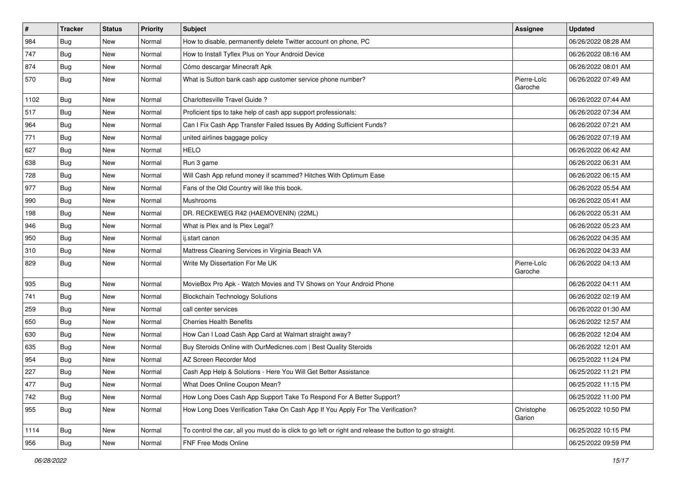| $\sharp$ | <b>Tracker</b> | <b>Status</b> | Priority | <b>Subject</b>                                                                                          | <b>Assignee</b>        | <b>Updated</b>      |
|----------|----------------|---------------|----------|---------------------------------------------------------------------------------------------------------|------------------------|---------------------|
| 984      | <b>Bug</b>     | New           | Normal   | How to disable, permanently delete Twitter account on phone, PC                                         |                        | 06/26/2022 08:28 AM |
| 747      | <b>Bug</b>     | <b>New</b>    | Normal   | How to Install Tyflex Plus on Your Android Device                                                       |                        | 06/26/2022 08:16 AM |
| 874      | <b>Bug</b>     | New           | Normal   | Cómo descargar Minecraft Apk                                                                            |                        | 06/26/2022 08:01 AM |
| 570      | Bug            | New           | Normal   | What is Sutton bank cash app customer service phone number?                                             | Pierre-Loïc<br>Garoche | 06/26/2022 07:49 AM |
| 1102     | <b>Bug</b>     | New           | Normal   | Charlottesville Travel Guide?                                                                           |                        | 06/26/2022 07:44 AM |
| 517      | <b>Bug</b>     | New           | Normal   | Proficient tips to take help of cash app support professionals:                                         |                        | 06/26/2022 07:34 AM |
| 964      | Bug            | New           | Normal   | Can I Fix Cash App Transfer Failed Issues By Adding Sufficient Funds?                                   |                        | 06/26/2022 07:21 AM |
| 771      | <b>Bug</b>     | New           | Normal   | united airlines baggage policy                                                                          |                        | 06/26/2022 07:19 AM |
| 627      | Bug            | <b>New</b>    | Normal   | <b>HELO</b>                                                                                             |                        | 06/26/2022 06:42 AM |
| 638      | <b>Bug</b>     | New           | Normal   | Run 3 game                                                                                              |                        | 06/26/2022 06:31 AM |
| 728      | <b>Bug</b>     | New           | Normal   | Will Cash App refund money if scammed? Hitches With Optimum Ease                                        |                        | 06/26/2022 06:15 AM |
| 977      | <b>Bug</b>     | <b>New</b>    | Normal   | Fans of the Old Country will like this book.                                                            |                        | 06/26/2022 05:54 AM |
| 990      | Bug            | <b>New</b>    | Normal   | Mushrooms                                                                                               |                        | 06/26/2022 05:41 AM |
| 198      | Bug            | <b>New</b>    | Normal   | DR. RECKEWEG R42 (HAEMOVENIN) (22ML)                                                                    |                        | 06/26/2022 05:31 AM |
| 946      | Bug            | New           | Normal   | What is Plex and Is Plex Legal?                                                                         |                        | 06/26/2022 05:23 AM |
| 950      | Bug            | New           | Normal   | ij.start canon                                                                                          |                        | 06/26/2022 04:35 AM |
| 310      | Bug            | <b>New</b>    | Normal   | Mattress Cleaning Services in Virginia Beach VA                                                         |                        | 06/26/2022 04:33 AM |
| 829      | <b>Bug</b>     | New           | Normal   | Write My Dissertation For Me UK                                                                         | Pierre-Loïc<br>Garoche | 06/26/2022 04:13 AM |
| 935      | <b>Bug</b>     | <b>New</b>    | Normal   | MovieBox Pro Apk - Watch Movies and TV Shows on Your Android Phone                                      |                        | 06/26/2022 04:11 AM |
| 741      | <b>Bug</b>     | New           | Normal   | <b>Blockchain Technology Solutions</b>                                                                  |                        | 06/26/2022 02:19 AM |
| 259      | Bug            | <b>New</b>    | Normal   | call center services                                                                                    |                        | 06/26/2022 01:30 AM |
| 650      | <b>Bug</b>     | New           | Normal   | <b>Cherries Health Benefits</b>                                                                         |                        | 06/26/2022 12:57 AM |
| 630      | Bug            | New           | Normal   | How Can I Load Cash App Card at Walmart straight away?                                                  |                        | 06/26/2022 12:04 AM |
| 635      | Bug            | <b>New</b>    | Normal   | Buy Steroids Online with OurMedicnes.com   Best Quality Steroids                                        |                        | 06/26/2022 12:01 AM |
| 954      | <b>Bug</b>     | New           | Normal   | AZ Screen Recorder Mod                                                                                  |                        | 06/25/2022 11:24 PM |
| 227      | <b>Bug</b>     | New           | Normal   | Cash App Help & Solutions - Here You Will Get Better Assistance                                         |                        | 06/25/2022 11:21 PM |
| 477      | <b>Bug</b>     | New           | Normal   | What Does Online Coupon Mean?                                                                           |                        | 06/25/2022 11:15 PM |
| 742      | <b>Bug</b>     | <b>New</b>    | Normal   | How Long Does Cash App Support Take To Respond For A Better Support?                                    |                        | 06/25/2022 11:00 PM |
| 955      | Bug            | New           | Normal   | How Long Does Verification Take On Cash App If You Apply For The Verification?                          | Christophe<br>Garion   | 06/25/2022 10:50 PM |
| 1114     | <b>Bug</b>     | New           | Normal   | To control the car, all you must do is click to go left or right and release the button to go straight. |                        | 06/25/2022 10:15 PM |
| 956      | Bug            | New           | Normal   | FNF Free Mods Online                                                                                    |                        | 06/25/2022 09:59 PM |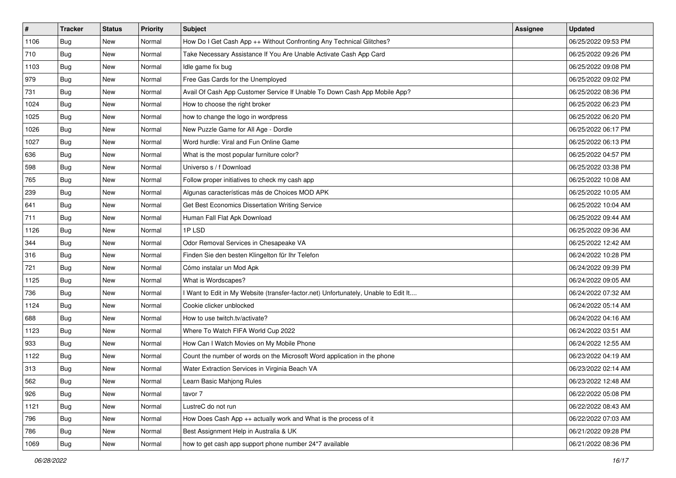| $\vert$ # | <b>Tracker</b> | <b>Status</b> | Priority | Subject                                                                           | <b>Assignee</b> | <b>Updated</b>      |
|-----------|----------------|---------------|----------|-----------------------------------------------------------------------------------|-----------------|---------------------|
| 1106      | <b>Bug</b>     | New           | Normal   | How Do I Get Cash App ++ Without Confronting Any Technical Glitches?              |                 | 06/25/2022 09:53 PM |
| 710       | Bug            | New           | Normal   | Take Necessary Assistance If You Are Unable Activate Cash App Card                |                 | 06/25/2022 09:26 PM |
| 1103      | Bug            | New           | Normal   | Idle game fix bug                                                                 |                 | 06/25/2022 09:08 PM |
| 979       | <b>Bug</b>     | New           | Normal   | Free Gas Cards for the Unemployed                                                 |                 | 06/25/2022 09:02 PM |
| 731       | Bug            | New           | Normal   | Avail Of Cash App Customer Service If Unable To Down Cash App Mobile App?         |                 | 06/25/2022 08:36 PM |
| 1024      | Bug            | New           | Normal   | How to choose the right broker                                                    |                 | 06/25/2022 06:23 PM |
| 1025      | <b>Bug</b>     | New           | Normal   | how to change the logo in wordpress                                               |                 | 06/25/2022 06:20 PM |
| 1026      | <b>Bug</b>     | New           | Normal   | New Puzzle Game for All Age - Dordle                                              |                 | 06/25/2022 06:17 PM |
| 1027      | Bug            | New           | Normal   | Word hurdle: Viral and Fun Online Game                                            |                 | 06/25/2022 06:13 PM |
| 636       | Bug            | New           | Normal   | What is the most popular furniture color?                                         |                 | 06/25/2022 04:57 PM |
| 598       | <b>Bug</b>     | New           | Normal   | Universo s / f Download                                                           |                 | 06/25/2022 03:38 PM |
| 765       | <b>Bug</b>     | New           | Normal   | Follow proper initiatives to check my cash app                                    |                 | 06/25/2022 10:08 AM |
| 239       | Bug            | <b>New</b>    | Normal   | Algunas características más de Choices MOD APK                                    |                 | 06/25/2022 10:05 AM |
| 641       | <b>Bug</b>     | New           | Normal   | Get Best Economics Dissertation Writing Service                                   |                 | 06/25/2022 10:04 AM |
| 711       | <b>Bug</b>     | New           | Normal   | Human Fall Flat Apk Download                                                      |                 | 06/25/2022 09:44 AM |
| 1126      | <b>Bug</b>     | New           | Normal   | 1P LSD                                                                            |                 | 06/25/2022 09:36 AM |
| 344       | <b>Bug</b>     | New           | Normal   | Odor Removal Services in Chesapeake VA                                            |                 | 06/25/2022 12:42 AM |
| 316       | Bug            | <b>New</b>    | Normal   | Finden Sie den besten Klingelton für Ihr Telefon                                  |                 | 06/24/2022 10:28 PM |
| 721       | <b>Bug</b>     | New           | Normal   | Cómo instalar un Mod Apk                                                          |                 | 06/24/2022 09:39 PM |
| 1125      | Bug            | New           | Normal   | What is Wordscapes?                                                               |                 | 06/24/2022 09:05 AM |
| 736       | <b>Bug</b>     | <b>New</b>    | Normal   | Want to Edit in My Website (transfer-factor.net) Unfortunately, Unable to Edit It |                 | 06/24/2022 07:32 AM |
| 1124      | Bug            | New           | Normal   | Cookie clicker unblocked                                                          |                 | 06/24/2022 05:14 AM |
| 688       | Bug            | New           | Normal   | How to use twitch.tv/activate?                                                    |                 | 06/24/2022 04:16 AM |
| 1123      | Bug            | New           | Normal   | Where To Watch FIFA World Cup 2022                                                |                 | 06/24/2022 03:51 AM |
| 933       | <b>Bug</b>     | New           | Normal   | How Can I Watch Movies on My Mobile Phone                                         |                 | 06/24/2022 12:55 AM |
| 1122      | Bug            | <b>New</b>    | Normal   | Count the number of words on the Microsoft Word application in the phone          |                 | 06/23/2022 04:19 AM |
| 313       | <b>Bug</b>     | New           | Normal   | Water Extraction Services in Virginia Beach VA                                    |                 | 06/23/2022 02:14 AM |
| 562       | <b>Bug</b>     | New           | Normal   | Learn Basic Mahjong Rules                                                         |                 | 06/23/2022 12:48 AM |
| 926       | Bug            | New           | Normal   | tavor 7                                                                           |                 | 06/22/2022 05:08 PM |
| 1121      | <b>Bug</b>     | New           | Normal   | LustreC do not run                                                                |                 | 06/22/2022 08:43 AM |
| 796       | Bug            | <b>New</b>    | Normal   | How Does Cash App ++ actually work and What is the process of it                  |                 | 06/22/2022 07:03 AM |
| 786       | <b>Bug</b>     | New           | Normal   | Best Assignment Help in Australia & UK                                            |                 | 06/21/2022 09:28 PM |
| 1069      | <b>Bug</b>     | New           | Normal   | how to get cash app support phone number 24*7 available                           |                 | 06/21/2022 08:36 PM |